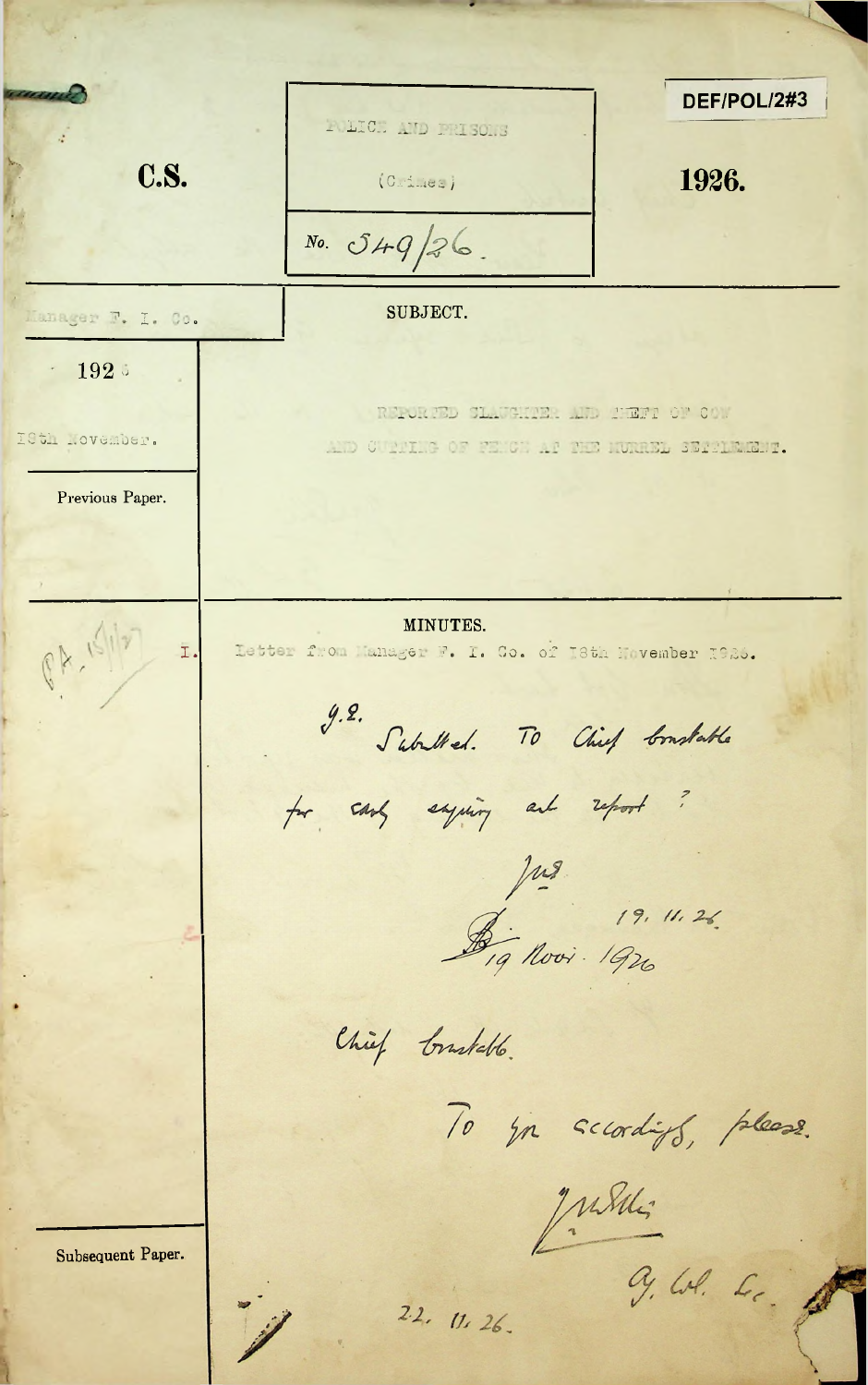|                   | DEF/POL/2#3<br>POLICE AND PRISONS                                                   |
|-------------------|-------------------------------------------------------------------------------------|
| <b>C.S.</b>       | 1926.<br>(Crimea)                                                                   |
|                   | No. 549/26                                                                          |
| Manager F. I. Co. | SUBJECT.                                                                            |
| 192.5             |                                                                                     |
| IStl Lovember.    | REPORTED CLAUGHTER AND TENT OF COM<br>AND CURRING OF THICK AF THE RUNNEL SERRINGER. |
| Previous Paper.   |                                                                                     |
|                   |                                                                                     |
| I.                | MINUTES.<br>Letter from Manager F. I. Co. of I8th November 1926.                    |
|                   | 9.2. Suballed. To Chief Constable                                                   |
|                   | for stop expiring and report?                                                       |
|                   |                                                                                     |
|                   | Jus 19. 11. 26.<br>Dig Novi 1926                                                    |
|                   | Chief bruskebb.                                                                     |
|                   | To you scratiff, please.                                                            |
| Subsequent Paper. | Judit                                                                               |
|                   | 9. W. L.<br>22.11126.                                                               |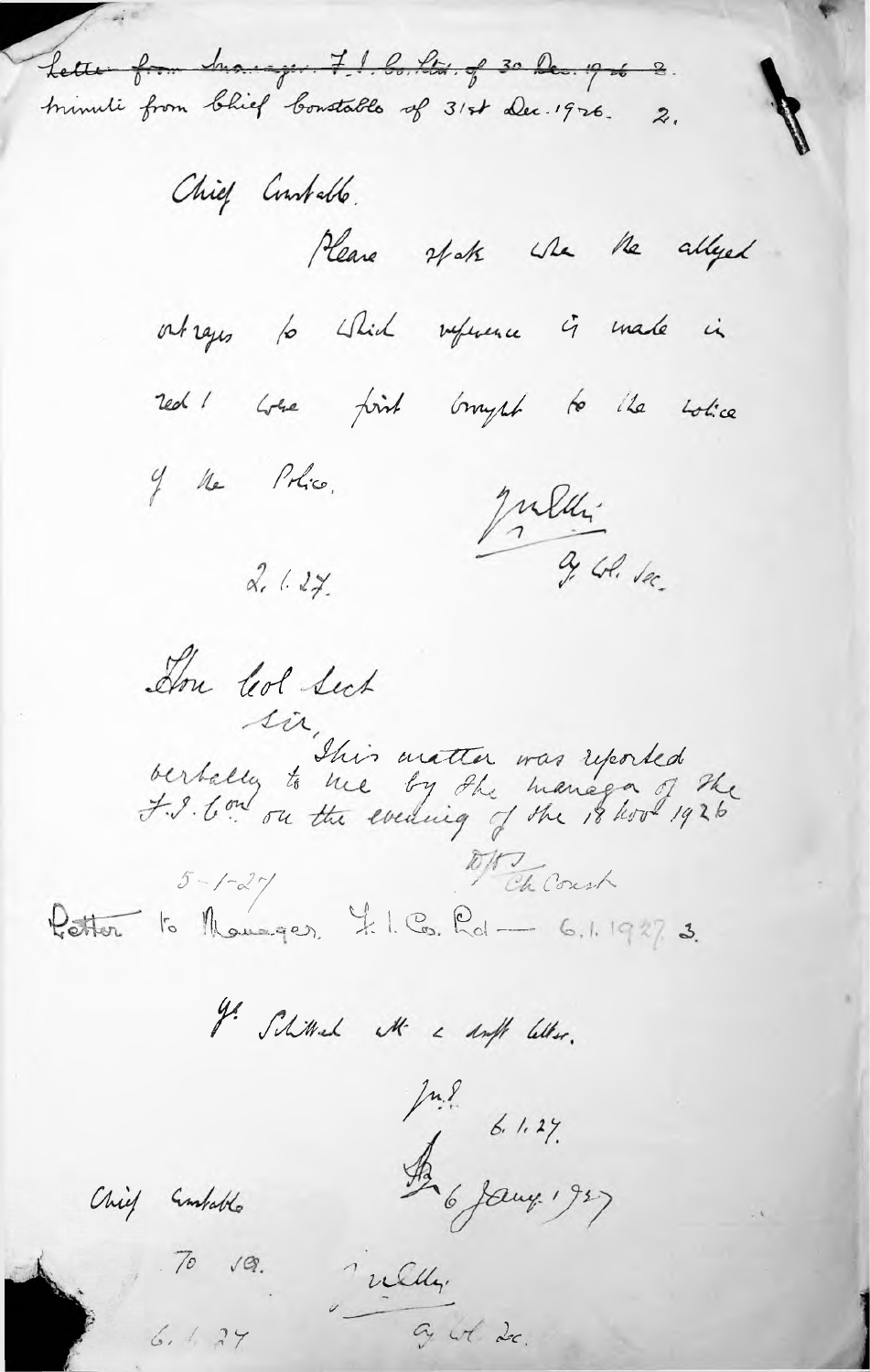Lette from hanger 7.1. bo. ltd. of 30 Dec. 19 de 2. trimuli from bhief bonstable of 31st Dec. 1926. 2.

Chief Contable. Please state whe the allyed outrages to which reference is made in red ! When fint brought to the wolle of the Police. Julien 3. Col. la  $2.627$ Don led Sect sir, suis matter was reported<br>berbally to me by the manage of the<br>f. I. Com on the evening of the 18 how 1926  $rac{647}{6}$  to Monager, I.I. Co. Rel - 6.1.1927. 3.

I Shimmed the a droft letter.

Jul 6 1.27.<br>A 6 Jany 1927

in Celles.

Chief Embable

 $70 \sqrt{9}$ 

6.427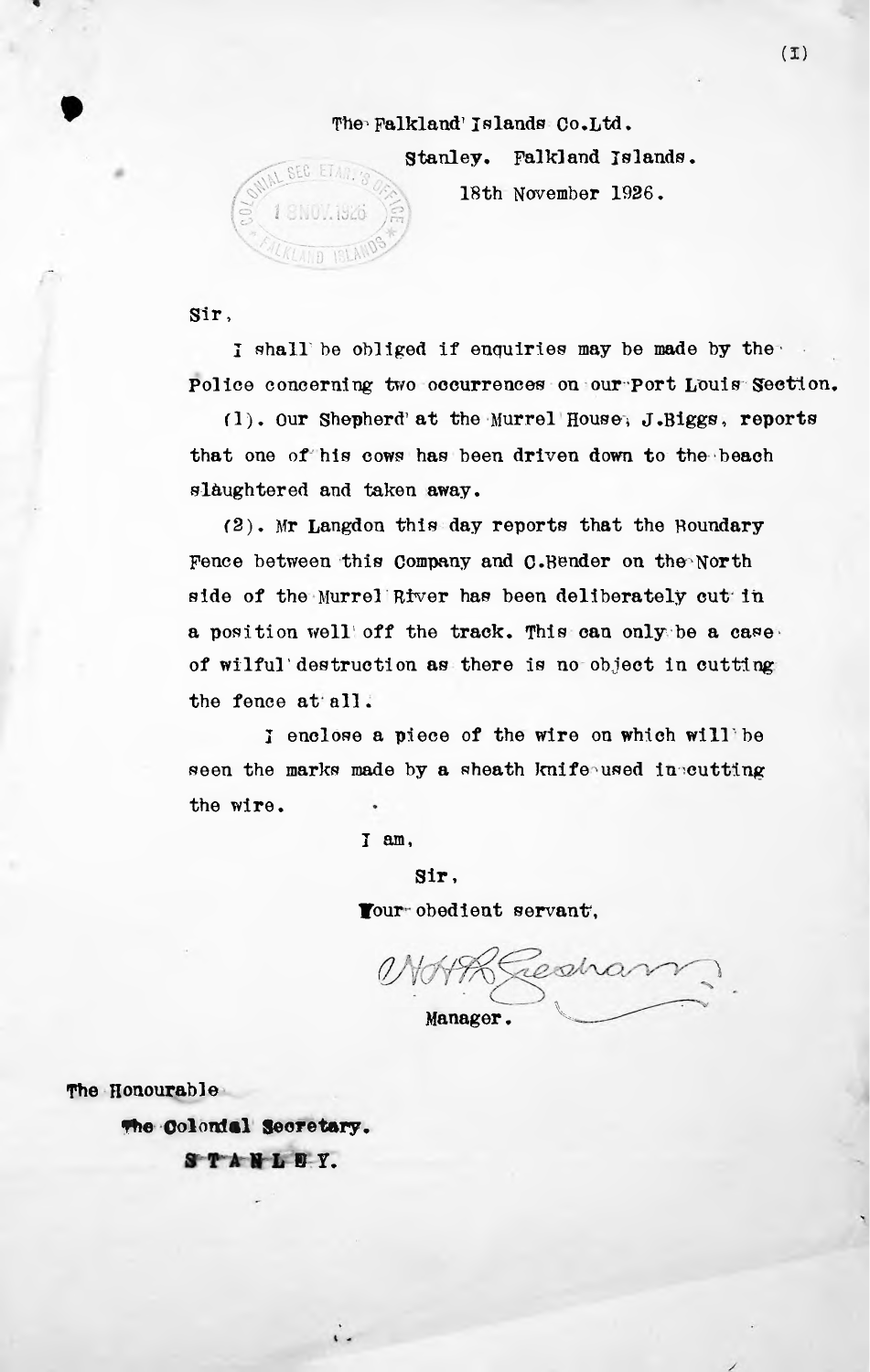## The Falkland' Islands Co.Ltd.

Stanley. Falkland Islands.

18th November 1926.

Sir,

SEC ETAR TO

SN07.1926

KLAND ISLAN

I shall be obliged if enquiries may be made by the Police concerning two occurrences on our Port Louis Section,

that one of his cows has been driven down to the beach slaughtered and taken away.  $f(1)$ . Our Shepherd' at the Murrel House, J.Biggs, reports

(2). Mr Langdon this day reports that the Boundary Fence between this Company and 0.Bender on the North side of the Murrel River has been deliberately cut in of wilful'destruction as there is no object in cutting the fence at all. a position well off the track. This can only be a case

I enclose a piece of the wire on which will'be seen the marks made by a sheath knife used in cutting the wire.

I am,

Sir, Tour obedient servant,

Manager. **k** 'J

The Honourable

**The** Colonial **Secretary.**

STANLEY.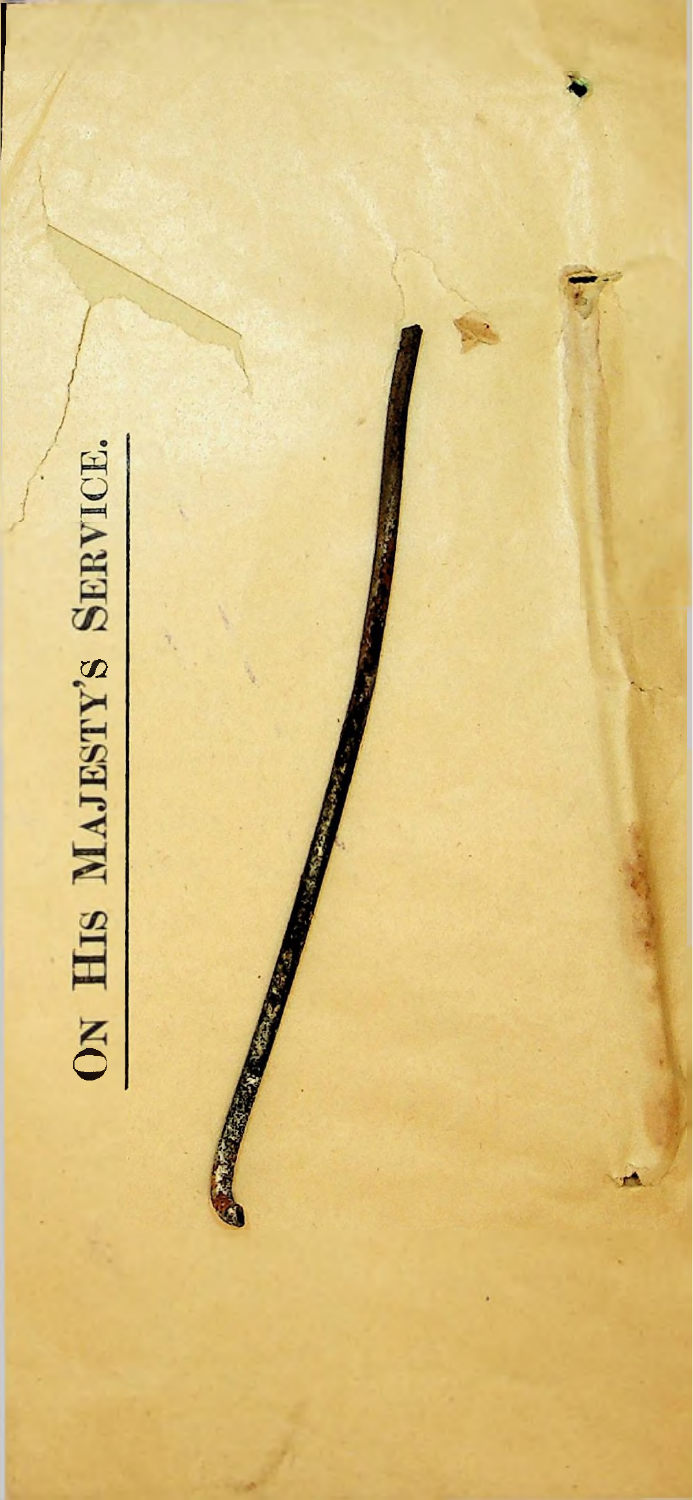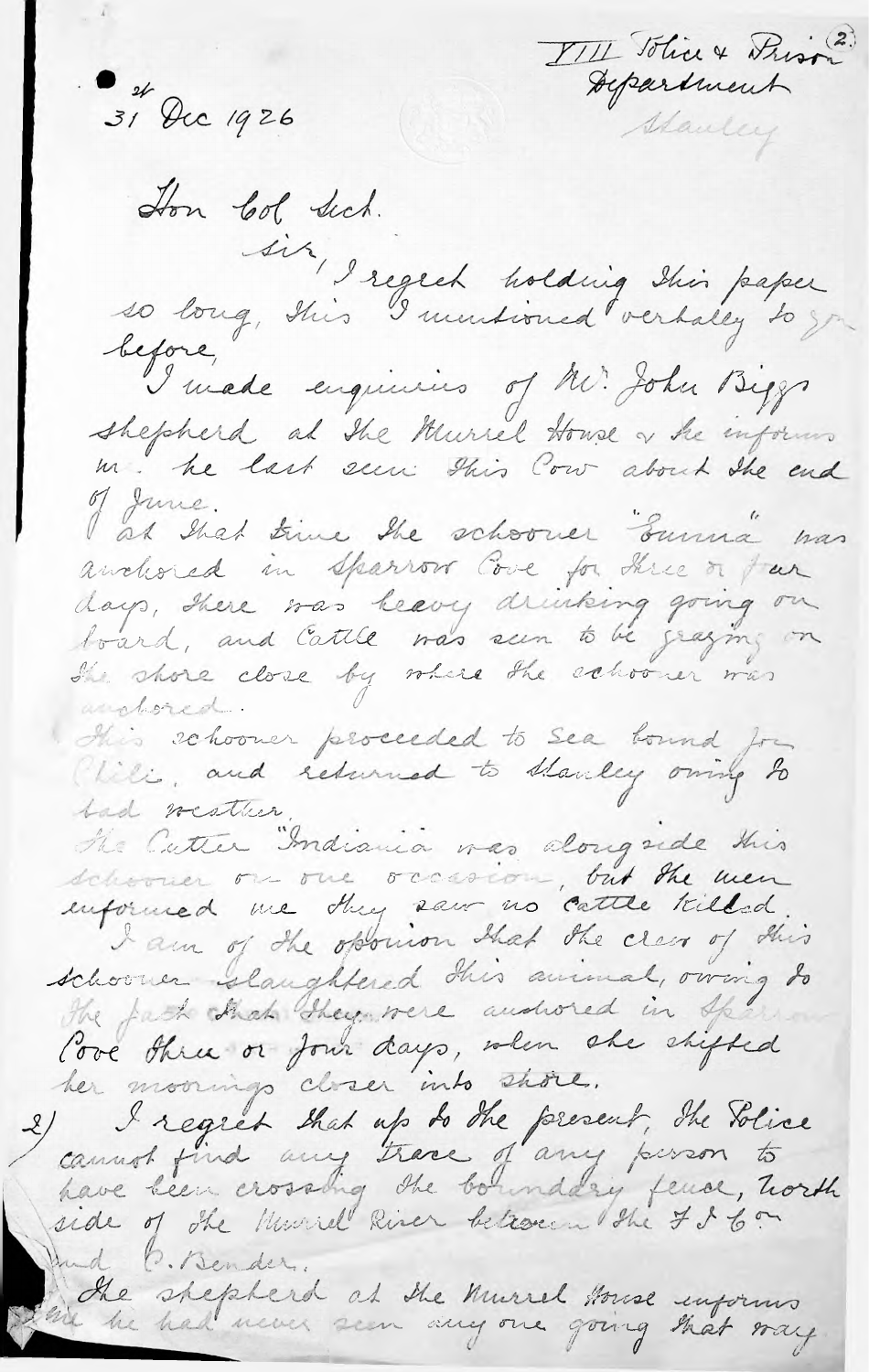VIII Tôlice & Prison o et Dec 1926 Hon Col Sich. sit, I regret holding this paper<br>so long, this I mustioned vertaley to you before, I made enquiries of Mr. John Biggs shepherd at the Murrel Howse of he informs<br>in he last seen this Cow about the end I at that time the schooner "Sunna" was<br>andered in sparrow Cove for three or fur<br>days, there was beevy drinking going on<br>beard, and Cattle was seen to be graying on<br>the shore close by where the echooner was of June. this schooner proceeded to see bound for Cliki, and returned to stanley owing to had westher. The Cutter "Indiania was alongside this I am of the opponion that the clear of this schooner slaughtered this animal, owing to The fact hat they were andwired in Sper love three or four days, when she shipped her moornings closer into shore. I regret that up to the present, the Solice<br>cannot find any trace of any person to side of the Murrel River between the 7860 And P. Bender. The shepherd at the Murrel House enforms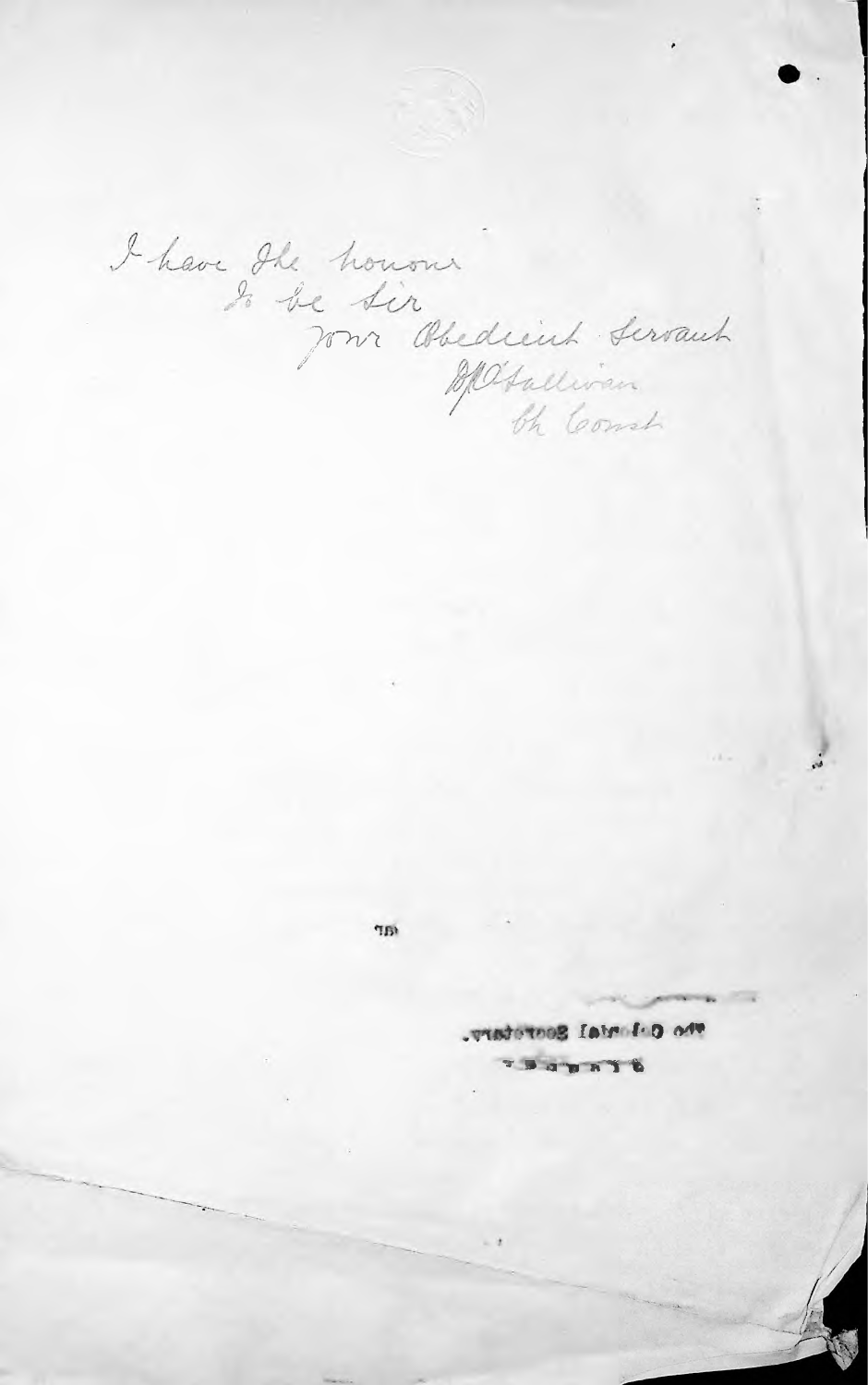I have the honour<br>In be sir Obedicinh servant

 $^{\prime\prime}\mathrm{B}^{\dagger}$ 

Who Calandal Secretary. **FEATERY**